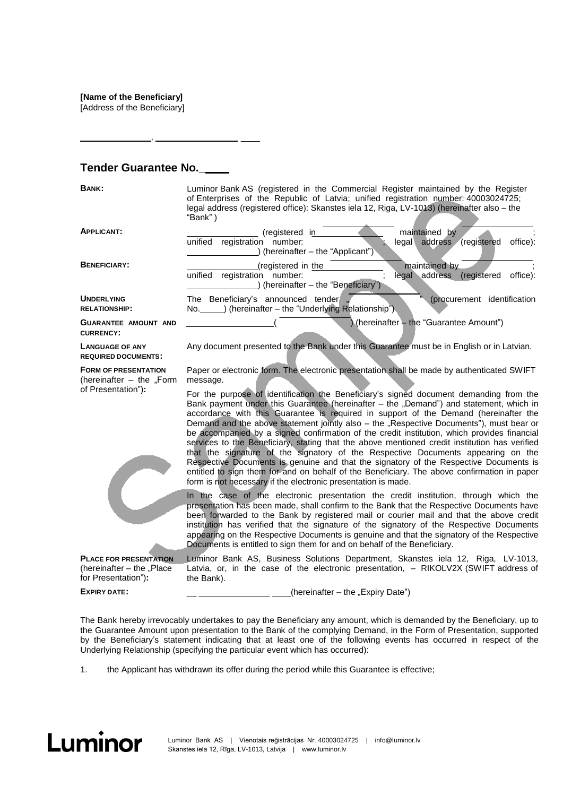**[Name of the Beneficiary]**

[Address of the Beneficiary]

## **Tender Guarantee No.\_**

,

**BANK:** Luminor Bank AS (registered in the Commercial Register maintained by the Register of Enterprises of the Republic of Latvia; unified registration number: 40003024725; legal address (registered office): Skanstes iela 12, Riga, LV-1013) (hereinafter also – the "Bank" )

| <b>APPLICANT:</b>                                                             | (registered in<br>maintained by<br>unified<br>registration number:<br>legal <sub>1</sub><br>address<br>(registered<br>office):<br>(hereinafter - the "Applicant")                                                                                                                                                                                                                                                                                                                                                                                                                                                                                                                                                                                                                                                                                                                                                |  |  |
|-------------------------------------------------------------------------------|------------------------------------------------------------------------------------------------------------------------------------------------------------------------------------------------------------------------------------------------------------------------------------------------------------------------------------------------------------------------------------------------------------------------------------------------------------------------------------------------------------------------------------------------------------------------------------------------------------------------------------------------------------------------------------------------------------------------------------------------------------------------------------------------------------------------------------------------------------------------------------------------------------------|--|--|
| <b>BENEFICIARY:</b>                                                           | (registered in the<br>maintained by<br>legal address (registered<br>unified<br>registration number:<br>office):<br>(hereinafter - the "Beneficiary")                                                                                                                                                                                                                                                                                                                                                                                                                                                                                                                                                                                                                                                                                                                                                             |  |  |
| <b>UNDERLYING</b><br><b>RELATIONSHIP:</b>                                     | (procurement identification<br>The Beneficiary's announced tender<br>) (hereinafter - the "Underlying Relationship")<br>No.                                                                                                                                                                                                                                                                                                                                                                                                                                                                                                                                                                                                                                                                                                                                                                                      |  |  |
| <b>GUARANTEE AMOUNT AND</b><br><b>CURRENCY:</b>                               | (hereinafter - the "Guarantee Amount")                                                                                                                                                                                                                                                                                                                                                                                                                                                                                                                                                                                                                                                                                                                                                                                                                                                                           |  |  |
| <b>LANGUAGE OF ANY</b><br><b>REQUIRED DOCUMENTS:</b>                          | Any document presented to the Bank under this Guarantee must be in English or in Latvian.                                                                                                                                                                                                                                                                                                                                                                                                                                                                                                                                                                                                                                                                                                                                                                                                                        |  |  |
| <b>FORM OF PRESENTATION</b><br>(hereinafter - the "Form<br>of Presentation"): | Paper or electronic form. The electronic presentation shall be made by authenticated SWIFT<br>message.                                                                                                                                                                                                                                                                                                                                                                                                                                                                                                                                                                                                                                                                                                                                                                                                           |  |  |
|                                                                               | For the purpose of identification the Beneficiary's signed document demanding from the<br>Bank payment under this Guarantee (hereinafter – the "Demand") and statement, which in<br>accordance with this Guarantee is required in support of the Demand (hereinafter the<br>Demand and the above statement jointly also – the "Respective Documents"), must bear or<br>be accompanied by a signed confirmation of the credit institution, which provides financial<br>services to the Beneficiary, stating that the above mentioned credit institution has verified<br>that the signature of the signatory of the Respective Documents appearing on the<br>Respective Documents is genuine and that the signatory of the Respective Documents is<br>entitled to sign them for and on behalf of the Beneficiary. The above confirmation in paper<br>form is not necessary if the electronic presentation is made. |  |  |
|                                                                               | In the case of the electronic presentation the credit institution, through which the<br>presentation has been made, shall confirm to the Bank that the Respective Documents have<br>been forwarded to the Bank by registered mail or courier mail and that the above credit<br>institution has verified that the signature of the signatory of the Respective Documents<br>appearing on the Respective Documents is genuine and that the signatory of the Respective<br>Documents is entitled to sign them for and on behalf of the Beneficiary.                                                                                                                                                                                                                                                                                                                                                                 |  |  |

PLACE FOR PRESENTATION Luminor Bank AS, Business Solutions Department, Skanstes iela 12, Riga, LV-1013, (hereinafter  $-$  the "Place for Presentation")**:**

**EXPIRY DATE:**

 $(hereinafter - the "Expiry Date")$ 

Latvia, or, in the case of the electronic presentation, – RIKOLV2X (SWIFT address of

The Bank hereby irrevocably undertakes to pay the Beneficiary any amount, which is demanded by the Beneficiary, up to the Guarantee Amount upon presentation to the Bank of the complying Demand, in the Form of Presentation, supported by the Beneficiary's statement indicating that at least one of the following events has occurred in respect of the Underlying Relationship (specifying the particular event which has occurred):

1. the Applicant has withdrawn its offer during the period while this Guarantee is effective;

the Bank).